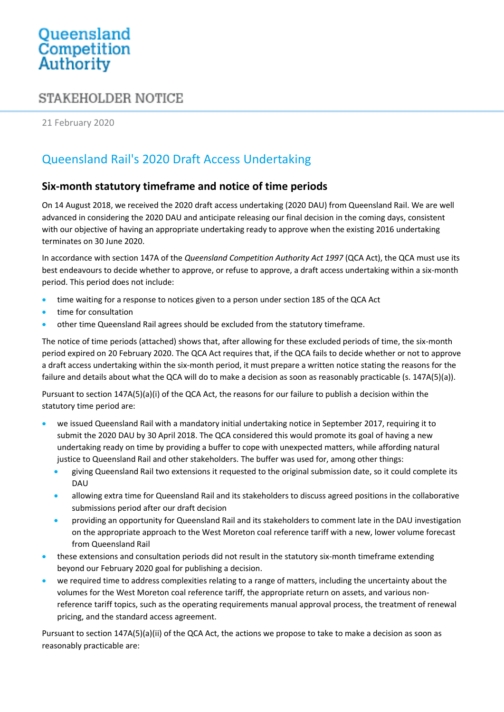# Queensland<br>Competition Authority

### **STAKEHOLDER NOTICE**

21 February 2020

## Queensland Rail's 2020 Draft Access Undertaking

#### **Six-month statutory timeframe and notice of time periods**

On 14 August 2018, we received the 2020 draft access undertaking (2020 DAU) from Queensland Rail. We are well advanced in considering the 2020 DAU and anticipate releasing our final decision in the coming days, consistent with our objective of having an appropriate undertaking ready to approve when the existing 2016 undertaking terminates on 30 June 2020.

In accordance with section 147A of the *Queensland Competition Authority Act 1997* (QCA Act), the QCA must use its best endeavours to decide whether to approve, or refuse to approve, a draft access undertaking within a six-month period. This period does not include:

- time waiting for a response to notices given to a person under section 185 of the QCA Act
- time for consultation
- other time Queensland Rail agrees should be excluded from the statutory timeframe.

The notice of time periods (attached) shows that, after allowing for these excluded periods of time, the six-month period expired on 20 February 2020. The QCA Act requires that, if the QCA fails to decide whether or not to approve a draft access undertaking within the six-month period, it must prepare a written notice stating the reasons for the failure and details about what the QCA will do to make a decision as soon as reasonably practicable (s. 147A(5)(a)).

Pursuant to section 147A(5)(a)(i) of the QCA Act, the reasons for our failure to publish a decision within the statutory time period are:

- we issued Queensland Rail with a mandatory initial undertaking notice in September 2017, requiring it to submit the 2020 DAU by 30 April 2018. The QCA considered this would promote its goal of having a new undertaking ready on time by providing a buffer to cope with unexpected matters, while affording natural justice to Queensland Rail and other stakeholders. The buffer was used for, among other things:
	- giving Queensland Rail two extensions it requested to the original submission date, so it could complete its DAU
	- allowing extra time for Queensland Rail and its stakeholders to discuss agreed positions in the collaborative submissions period after our draft decision
	- providing an opportunity for Queensland Rail and its stakeholders to comment late in the DAU investigation on the appropriate approach to the West Moreton coal reference tariff with a new, lower volume forecast from Queensland Rail
- these extensions and consultation periods did not result in the statutory six-month timeframe extending beyond our February 2020 goal for publishing a decision.
- we required time to address complexities relating to a range of matters, including the uncertainty about the volumes for the West Moreton coal reference tariff, the appropriate return on assets, and various nonreference tariff topics, such as the operating requirements manual approval process, the treatment of renewal pricing, and the standard access agreement.

Pursuant to section 147A(5)(a)(ii) of the QCA Act, the actions we propose to take to make a decision as soon as reasonably practicable are: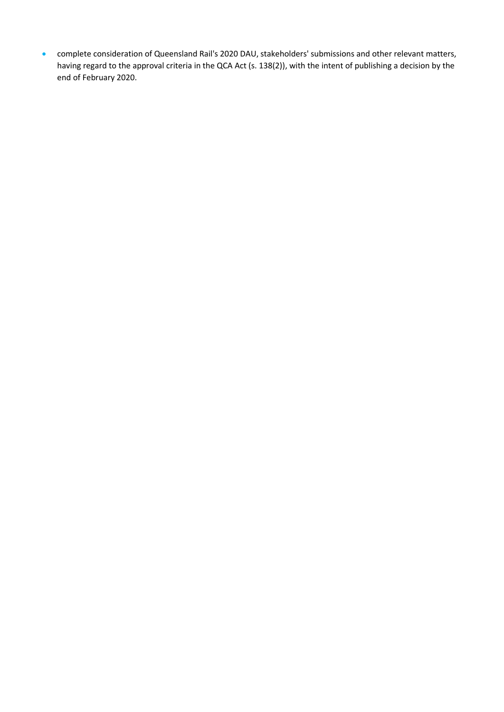complete consideration of Queensland Rail's 2020 DAU, stakeholders' submissions and other relevant matters, having regard to the approval criteria in the QCA Act (s. 138(2)), with the intent of publishing a decision by the end of February 2020.